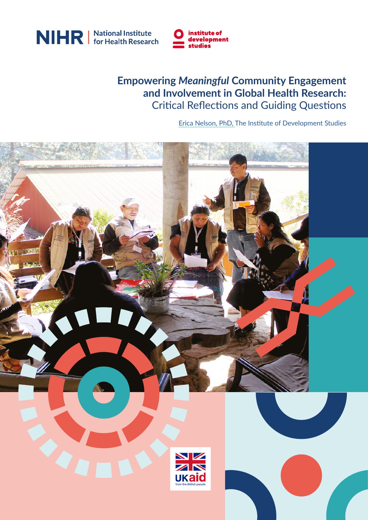



#### **Empowering** *Meaningful* **Community Engagement and Involvement in Global Health Research:** Critical Reflections and Guiding Questions

[Erica Nelson, PhD, The Institute of Development Studies](https://orcid.org/0000-0001-9161-4814)

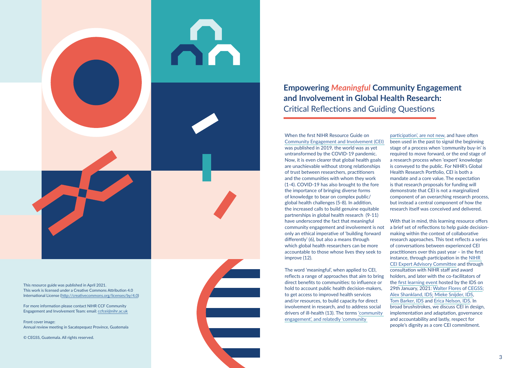When the first NIHR Resource Guide on [Community Engagement and Involvement \(CEI\)](https://www.nihr.ac.uk/documents/researchers/manage-your-funding/NIHR-Community-Engagement-Involvement-Resource-Guide-2019.pdf)  was published in 2019, the world was as yet untransformed by the COVID-19 pandemic. Now, it is even clearer that global health goals are unachievable without strong relationships of trust between researchers, practitioners and the communities with whom they work (1-4). COVID-19 has also brought to the fore the importance of bringing diverse forms of knowledge to bear on complex public/ global health challenges (5-8). In addition, the increased calls to build genuine equitable partnerships in global health research (9-11) have underscored the fact that meaningful community engagement and involvement is not only an ethical imperative of 'building forward differently' (6), but also a means through which global health researchers can be more accountable to those whose lives they seek to improve (12).

The word 'meaningful', when applied to CEI, reflects a range of approaches that aim to bring direct benefits to communities: to influence or hold to account public health decision-makers, to get access to improved health services and/or resources, to build capacity for direct involvement in research, and to address social drivers of ill-health (13). The terms ['community](https://www.nihr.ac.uk/documents/researchers/manage-your-funding/NIHR-Community-Engagement-Involvement-Resource-Guide-2019.pdf)  [engagement', and relatedly 'community](https://www.nihr.ac.uk/documents/researchers/manage-your-funding/NIHR-Community-Engagement-Involvement-Resource-Guide-2019.pdf) 

# **Empowering** *Meaningful* **Community Engagement and Involvement in Global Health Research:**  Critical Reflections and Guiding Questions

[participation', are not new](https://www.nihr.ac.uk/documents/researchers/manage-your-funding/NIHR-Community-Engagement-Involvement-Resource-Guide-2019.pdf), and have often been used in the past to signal the beginning stage of a process when 'community buy-in' is required to move forward, or the end stage of a research process when 'expert' knowledge is conveyed to the public. For NIHR's Global Health Research Portfolio, CEI is both a mandate and a core value. The expectation is that research proposals for funding will demonstrate that CEI is not a marginalized component of an overarching research process, but instead a central component of how the research itself was conceived and delivered.

With that in mind, this learning resource offers a brief set of reflections to help guide decisionmaking within the context of collaborative research approaches. This text reflects a series of conversations between experienced CEI practitioners over this past year – in the first instance, through participation in the [NIHR](https://mesh.tghn.org/programme-hubs/nihr-global-health-ce-involvement/)  [CEI Expert Advisory Committee](https://mesh.tghn.org/programme-hubs/nihr-global-health-ce-involvement/) and through consultation with NIHR staff and award holders, and later with the co-facilitators of the [first learning event](https://www.nihr.ac.uk/blog/empowering-meaningful-community-engagement-and-involvement-in-global-health-research/27030) hosted by the IDS on 29th January, 2021: [Walter Flores](https://www.youtube.com/watch?v=PLlNUCwfY4s) of [CEGSS;](https://cegss.org.gt/en/#pll_switcher) [Alex Shankland, IDS](https://www.ids.ac.uk/people/alex-shankland-2/); [Mieke Snijder, IDS,](https://scholar.google.com/citations?user=fBxeoZwAAAAJ&hl=en) [Tom Barker, IDS](https://www.ids.ac.uk/people/tom-barker/) and [Erica Nelson, IDS](https://orcid.org/0000-0001-9161-4814). In broad brushstrokes, we discuss CEI in design, implementation and adaptation, governance and accountability and lastly, respect for people's dignity as a core CEI commitment.



This resource guide was published in April 2021. This work is licensed under a Creative Commons Attribution 4.0 International License [\(http://creativecommons.org/licenses/by/4.0\)](http://creativecommons.org/licenses/by/4.0)

For more information please contact NIHR CCF Community Engagement and Involvement Team: email: [ccfcei@nihr.ac.uk](mailto:ccfcei@nihr.ac.uk)

Front cover image: Annual review meeting in Sacatepequez Province, Guatemala

© CEGSS, Guatemala. All rights reserved.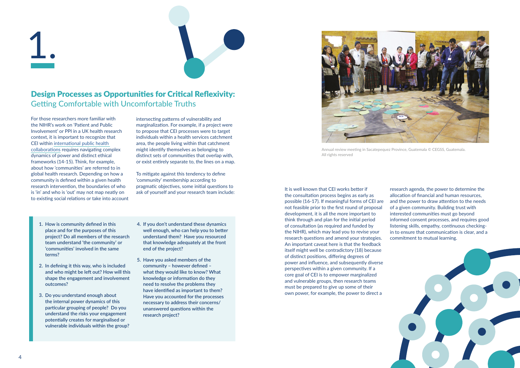



research agenda, the power to determine the allocation of financial and human resources, and the power to draw attention to the needs of a given community. Building trust with interested communities must go beyond informed consent processes, and requires good listening skills, empathy, continuous checkingin to ensure that communication is clear, and a commitment to mutual learning.

## Design Processes as Opportunities for Critical Reflexivity: Getting Comfortable with Uncomfortable Truths

1.



For those researchers more familiar with the NIHR's work on 'Patient and Public Involvement' or PPI in a UK health research context, it is important to recognize that CEI within [international public health](https://www.nihr.ac.uk/researchers/apply-for-funding/how-to-apply-for-global-health-funding/equitable-partnerships.htm)  [collaborations](https://www.nihr.ac.uk/researchers/apply-for-funding/how-to-apply-for-global-health-funding/equitable-partnerships.htm) requires navigating complex dynamics of power and distinct ethical frameworks (14-15). Think, for example, about how 'communities' are referred to in global health research. Depending on how a community is defined within a given health research intervention, the boundaries of who is 'in' and who is 'out' may not map neatly on to existing social relations or take into account

intersecting patterns of vulnerability and marginalization. For example, if a project were to propose that CEI processes were to target individuals within a health services catchment area, the people living within that catchment might identify themselves as belonging to distinct sets of communities that overlap with, or exist entirely separate to, the lines on a map.

To mitigate against this tendency to define 'community' membership according to pragmatic objectives, some initial questions to ask of yourself and your research team include:

- **1. How is community defined in this place and for the purposes of this project? Do all members of the research team understand 'the community' or 'communities' involved in the same terms?**
- **2. In defining it this way, who is included and who might be left out? How will this shape the engagement and involvement outcomes?**
- **3. Do you understand enough about the internal power dynamics of this particular grouping of people? Do you understand the risks your engagement potentially creates for marginalised or vulnerable individuals within the group?**
- **4. If you don't understand these dynamics well enough, who can help you to better understand them? Have you resourced that knowledge adequately at the front end of the project?**
- **5. Have you asked members of the community – however defined – what they would like to know? What knowledge or information do they need to resolve the problems they have identified as important to them? Have you accounted for the processes necessary to address their concerns/ unanswered questions within the research project?**



Annual review meeting in Sacatepequez Province, Guatemala © CEGSS, Guatemala. All rights reserved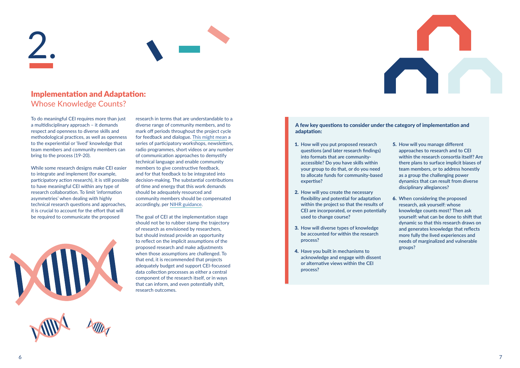

### Implementation and Adaptation: Whose Knowledge Counts?

2.



To do meaningful CEI requires more than just a multidisciplinary approach – it demands respect and openness to diverse skills and methodological practices, as well as openness to the experiential or 'lived' knowledge that team members and community members can bring to the process (19-20).

While some research designs make CEI easier to integrate and implement (for example, participatory action research), it is still possible to have meaningful CEI within any type of research collaboration. To limit 'information asymmetries' when dealing with highly technical research questions and approaches, it is crucial to account for the effort that will be required to communicate the proposed



- 1. **How will you put proposed research questions (and later research findings) into formats that are communityaccessible? Do you have skills within your group to do that, or do you need to allocate funds for community-based expertise?**
- 2. **How will you create the necessary flexibility and potential for adaptation within the project so that the results of CEI are incorporated, or even potentially used to change course?**
- 3. **How will diverse types of knowledge be accounted for within the research process?**
- 4. **Have you built in mechanisms to acknowledge and engage with dissent or alternative views within the CEI process?**
- 5. **How will you manage different approaches to research and to CEI within the research consortia itself? Are there plans to surface implicit biases of team members, or to address honestly as a group the challenging power dynamics that can result from diverse disciplinary allegiances?**
- 6. **When considering the proposed research, ask yourself: whose knowledge counts most? Then ask yourself: what can be done to shift that dynamic so that this research draws on and generates knowledge that reflects more fully the lived experiences and needs of marginalized and vulnerable groups?**

research in terms that are understandable to a diverse range of community members, and to mark off periods throughout the project cycle for feedback and dialogue. [This might mean](https://mesh.tghn.org/resources/) a series of participatory workshops, newsletters, radio programmes, short videos or any number of communication approaches to demystify technical language and enable community members to give constructive feedback, and for that feedback to be integrated into decision-making. The substantial contributions of time and energy that this work demands should be adequately resourced and community members should be compensated accordingly, per [NIHR guidance.](https://www.nihr.ac.uk/researchers/apply-for-funding/how-to-apply-for-global-health-funding/community-engagement-and-involvement.htm)

The goal of CEI at the implementation stage should not be to rubber stamp the trajectory of research as envisioned by researchers, but should instead provide an opportunity to reflect on the implicit assumptions of the proposed research and make adjustments when those assumptions are challenged. To that end, it is recommended that projects adequately budget and support CEI-focussed data collection processes as either a central component of the research itself, or in ways that can inform, and even potentially shift, research outcomes.

#### A few key questions to consider under the category of implementation and adaptation: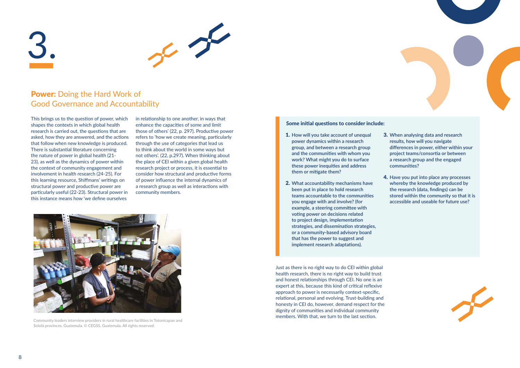

### Power: Doing the Hard Work of Good Governance and Accountability



This brings us to the question of power, which shapes the contexts in which global health research is carried out, the questions that are asked, how they are answered, and the actions that follow when new knowledge is produced. There is substantial literature concerning the nature of power in global health (21- 23), as well as the dynamics of power within the context of community engagement and involvement in health research (24-25). For this learning resource, Shiffmans' writings on structural power and productive power are particularly useful (22-23). Structural power in this instance means how 'we define ourselves

- 1. **How will you take account of unequal power dynamics within a research group, and between a research group and the communities with whom you work? What might you do to surface these power inequities and address them or mitigate them?**
- 2. **What accountability mechanisms have been put in place to hold research teams accountable to the communities you engage with and involve? (for example, a steering committee with voting power on decisions related to project design, implementation strategies, and dissemination strategies, or a community-based advisory board that has the power to suggest and implement research adaptations).**

3. **When analysing data and research results, how will you navigate differences in power, either within your project teams/consortia or between a research group and the engaged communities?**

4. **Have you put into place any processes whereby the knowledge produced by the research (data, findings) can be stored within the community so that it is accessible and useable for future use?**



in relationship to one another, in ways that enhance the capacities of some and limit those of others' (22, p. 297). Productive power refers to 'how we create meaning, particularly through the use of categories that lead us to think about the world in some ways but not others'. (22, p.297). When thinking about the place of CEI within a given global health research project or process, it is essential to consider how structural and productive forms of power influence the internal dynamics of a research group as well as interactions with community members.

#### Some initial questions to consider include:



Community leaders interview providers in rural healthcare facilities in Totonicapan and Sololá provinces, Guatemala. © CEGSS, Guatemala. All rights reserved.

Just as there is no right way to do CEI within global health research, there is no right way to build trust and honest relationships through CEI. No one is an expert at this, because this kind of critical reflexive approach to power is necessarily context-specific, relational, personal and evolving. Trust-building and honesty in CEI do, however, demand respect for the dignity of communities and individual community members. With that, we turn to the last section.